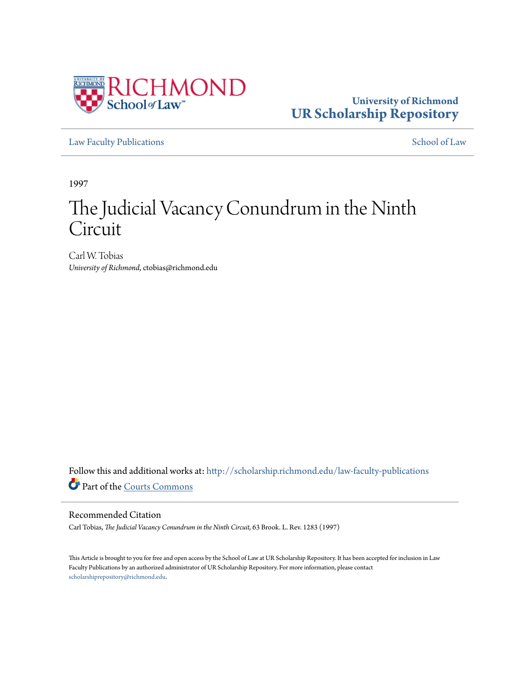

# **University of Richmond [UR Scholarship Repository](http://scholarship.richmond.edu?utm_source=scholarship.richmond.edu%2Flaw-faculty-publications%2F692&utm_medium=PDF&utm_campaign=PDFCoverPages)**

[Law Faculty Publications](http://scholarship.richmond.edu/law-faculty-publications?utm_source=scholarship.richmond.edu%2Flaw-faculty-publications%2F692&utm_medium=PDF&utm_campaign=PDFCoverPages) [School of Law](http://scholarship.richmond.edu/law?utm_source=scholarship.richmond.edu%2Flaw-faculty-publications%2F692&utm_medium=PDF&utm_campaign=PDFCoverPages)

1997

# The Judicial Vacancy Conundrum in the Ninth Circuit

Carl W. Tobias *University of Richmond*, ctobias@richmond.edu

Follow this and additional works at: [http://scholarship.richmond.edu/law-faculty-publications](http://scholarship.richmond.edu/law-faculty-publications?utm_source=scholarship.richmond.edu%2Flaw-faculty-publications%2F692&utm_medium=PDF&utm_campaign=PDFCoverPages) Part of the [Courts Commons](http://network.bepress.com/hgg/discipline/839?utm_source=scholarship.richmond.edu%2Flaw-faculty-publications%2F692&utm_medium=PDF&utm_campaign=PDFCoverPages)

## Recommended Citation

Carl Tobias, *The Judicial Vacancy Conundrum in the Ninth Circuit,* 63 Brook. L. Rev. 1283 (1997)

This Article is brought to you for free and open access by the School of Law at UR Scholarship Repository. It has been accepted for inclusion in Law Faculty Publications by an authorized administrator of UR Scholarship Repository. For more information, please contact [scholarshiprepository@richmond.edu.](mailto:scholarshiprepository@richmond.edu)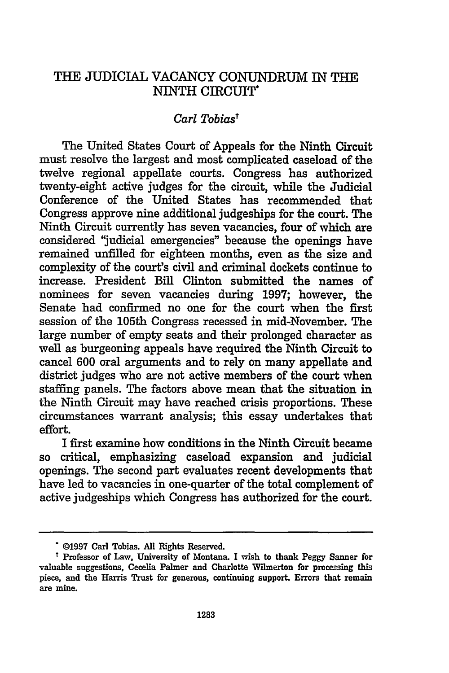# THE JUDICIAL VACANCY CONUNDRUM IN THE NINTH CIRCUIT\*

## *Carl Tobiast*

The United States Court of Appeals for the Ninth Circuit must resolve the largest and most complicated caseload of the twelve regional appellate courts. Congress has authorized twenty-eight active judges for the circuit, while the Judicial Conference of the United States has recommended that Congress approve nine additional judgeships for the court. The Ninth Circuit currently has seven vacancies, four of which are considered "judicial emergencies" because the openings have remained unfilled for eighteen months, even as the size and complexity of the court's civil and criminal dockets continue to increase. President Bill Clinton submitted the names of nominees for seven vacancies during 1997; however, the Senate had confirmed no one for the court when the first session of the 105th Congress recessed in mid-November. The large number of empty seats and their prolonged character as well as burgeoning appeals have required the Ninth Circuit to cancel 600 oral arguments and to rely on many appellate and district judges who are not active members of the court when staffing panels. The factors above mean that the situation in the Ninth Circuit may have reached crisis proportions. These circumstances warrant analysis; this essay undertakes that effort.

I first examine how conditions in the Ninth Circuit became critical, emphasizing caseload expansion and judicial openings. The second part evaluates recent developments that have led to vacancies in one-quarter of the total complement of active judgeships which Congress has authorized for the court.

<sup>• ©1997</sup> Carl Tobias. All Rights Reserved.

<sup>&</sup>lt;sup>t</sup> Professor of Law, University of Montana. I wish to thank Peggy Sanner for valuable suggestions, Cecelia Palmer and Charlotte Wtlmerton for processing this piece, and the Harris Trust for generous, continuing support. Errors that remain are mine.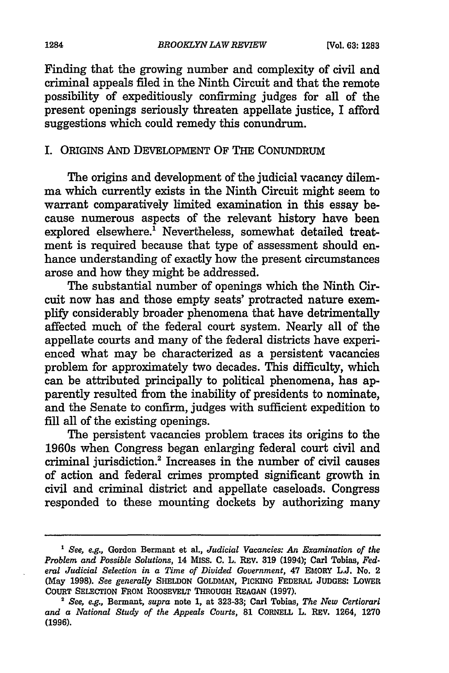Finding that the growing number and complexity of civil and criminal appeals filed in the Ninth Circuit and that the remote possibility of expeditiously confirming judges for all of the present openings seriously threaten appellate justice, I afford suggestions which could remedy this conundrum.

#### I. ORIGINS AND DEVELOPMENT OF THE CONUNDRUM

The origins and development of the judicial vacancy dilemma which currently exists in the Ninth Circuit might seem to warrant comparatively limited examination in this essay because numerous aspects of the relevant history have been explored elsewhere.<sup>1</sup> Nevertheless, somewhat detailed treatment is required because that type of assessment should enhance understanding of exactly how the present circumstances arose and how they might be addressed.

The substantial number of openings which the Ninth Circuit now has and those empty seats' protracted nature exemplify considerably broader phenomena that have detrimentally affected much of the federal court system. Nearly all of the appellate courts and many of the federal districts have experienced what may be characterized as a persistent vacancies problem for approximately two decades. This difficulty, which can be attributed principally to political phenomena, has apparently resulted from the inability of presidents to nominate, and the Senate to confirm, judges with sufficient expedition to fill all of the existing openings.

The persistent vacancies problem traces its origins to the 1960s when Congress began enlarging federal court civil and criminal jurisdiction.2 Increases in the number of civil causes of action and federal crimes prompted significant growth in civil and criminal district and appellate caseloads. Congress responded to these mounting dockets by authorizing many

<sup>1</sup>*See, e.g.,* Gordon Bermant et al., *Judicial Vacancies:* An *Examination of the Problem and Possible Solutions,* 14 MISS. C. L. REV. 319 (1994); Carl Tobias, *Fed· eral Judicial Selection in a Time of Divided Government,* 47 EMORY L.J. No. 2 (May 1998). *See generally* SHELDON GoLDMAN, PICKING FEDERAL JUDGES: LOWER

<sup>&</sup>lt;sup>2</sup> See, e.g., Bermant, *supra* note 1, at 323-33; Carl Tobias, *The New Certiorari and a National Study of the Appeals Courts,* 81 CORNELL L. REV. 1264, 1270 (1996).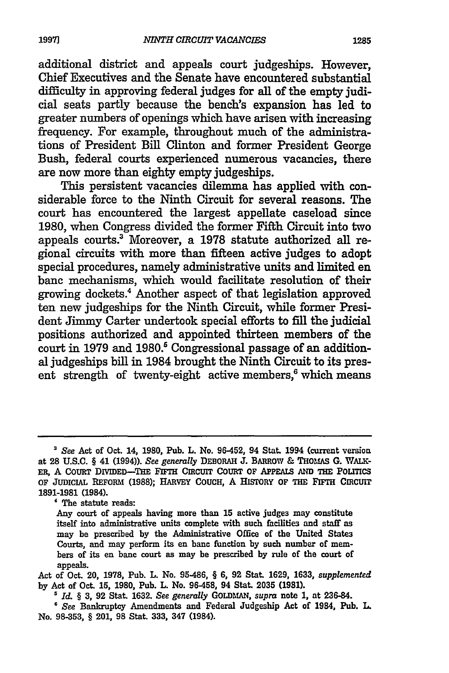additional district and appeals court judgeships. However, Chief Executives and the Senate have encountered substantial difficulty in approving federal judges for all of the empty judicial seats partly because the bench's expansion has led to greater numbers of openings which have arisen with increasing frequency. For example, throughout much of the administrations of President Bill Clinton and former President George Bush, federal courts experienced numerous vacancies, there are now more than eighty empty judgeships.

This persistent vacancies dilemma has applied with considerable force to the Ninth Circuit for several reasons. The court has encountered the largest appellate caseload since 1980, when Congress divided the former Fifth Circuit into two appeals courts.3 Moreover, a 1978 statute authorized all regional circuits with more than fifteen active judges to adopt special procedures, namely administrative units and limited en bane mechanisms, which would facilitate resolution of their growing dockets.4 Another aspect of that legislation approved ten new judgeships for the Ninth Circuit, while former President Jimmy Carter undertook special efforts to fill the judicial positions authorized and appointed thirteen members of the court in 1979 and 1980.<sup>5</sup> Congressional passage of an additional judgeships bill in 1984 brought the Ninth Circuit to its present strength of twenty-eight active members,<sup>6</sup> which means

<sup>3</sup>*See* Act of Oct. 14, 1980, Pub. L. No. 96-452, 94 Stat. 1994 (current version at 28 U.S.C. § 41 (1994)). *See generally* DEBORAH J. BARROW & THOMAS G. WAU\.- ER, A COURT DIVIDED-THE FIFTH CIRCUIT COURT OF APPEALS AND THE POLITICS OF JUDICIAL REFORM (1988); HARVEY COUCH, A HISTORY OF THE FIFTH CIRCUIT 1891-1981 (1984).

<sup>&#</sup>x27; The statute reads:

Any court of appeals having more than 15 active judges mny constitute itself into administrative units complete with such facilities and staff as may be prescribed by the Administrative Office of the United States Courts, and may perform its en bane function by such number of members of its en banc court as may be prescribed by rule of the court of appeals.

Act of Oct. 20, 1978, Pub. L. No. 95-486, § 6, 92 Stat. 1629, 1633, *supplemented*  by Act of Oct. 15, 1980, Pub. L. No. 96-458, 94 Stat. 2035 (1981).<br>
<sup>5</sup> Id. § 3, 92 Stat. 1632. See generally GOLDMAN, supra note 1, at 236-84.<br>
<sup>6</sup> See Bankruptcy Amendments and Federal Judgeship Act of 1984, Pub. L.

No. 98-353, § 201, 98 Stat. 333, 347 (1984).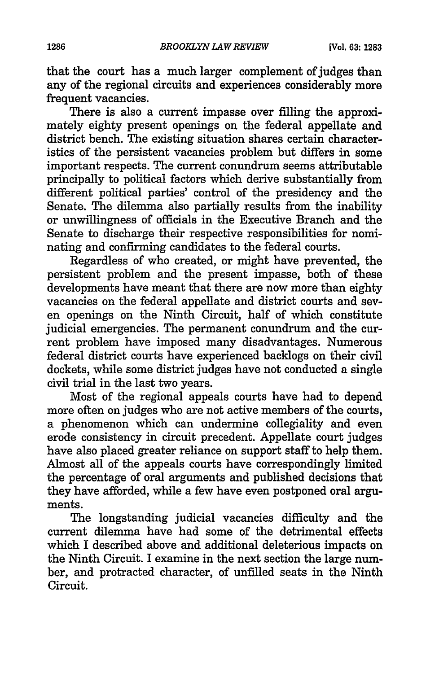that the court has a much larger complement of judges than any of the regional circuits and experiences considerably more frequent vacancies.

There is also a current impasse over filling the approximately eighty present openings on the federal appellate and district bench. The existing situation shares certain characteristics of the persistent vacancies problem but differs in some important respects. The current conundrum seems attributable principally to political factors which derive substantially from different political parties' control of the presidency and the Senate. The dilemma also partially results from the inability or unwillingness of officials in the Executive Branch and the Senate to discharge their respective responsibilities for nominating and confirming candidates to the federal courts.

Regardless of who created, or might have prevented, the persistent problem and the present impasse, both of these developments have meant that there are now more than eighty vacancies on the federal appellate and district courts and seven openings on the Ninth Circuit, half of which constitute judicial emergencies. The permanent conundrum and the current problem have imposed many disadvantages. Numerous federal district courts have experienced backlogs on their civil dockets, while some district judges have not conducted a single civil trial in the last two years.

Most of the regional appeals courts have had to depend more often on judges who are not active members of the courts, a phenomenon which can undermine collegiality and even erode consistency in circuit precedent. Appellate court judges have also placed greater reliance on support staff to help them. Almost all of the appeals courts have correspondingly limited the percentage of oral arguments and published decisions that they have afforded, while a few have even postponed oral arguments.

The longstanding judicial vacancies difficulty and the current dilemma have had some of the detrimental effects which I described above and additional deleterious impacts on the Ninth Circuit. I examine in the next section the large number, and protracted character, of unfilled seats in the Ninth Circuit.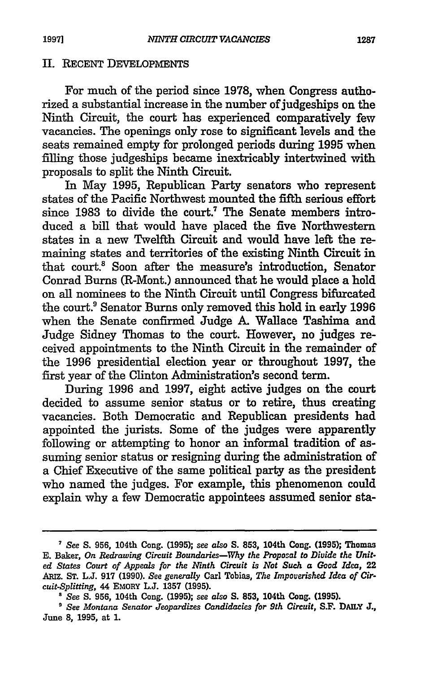#### II. RECENT DEVELOPMENTS

For much of the period since 1978, when Congress authorized a substantial increase in the number of judgeships on the Ninth Circuit, the court has experienced comparatively few vacancies. The openings only rose to significant levels and the seats remained empty for prolonged periods during 1995 when filling those judgeships became inextricably intertwined with proposals to split the Ninth Circuit.

In May 1995, Republican Party senators who represent states of the Pacific Northwest mounted the fifth serious effort since 1983 to divide the court.<sup>7</sup> The Senate members introduced a bill that would have placed the five Northwestern states in a new Twelfth Circuit and would have left the remaining states and territories of the existing Ninth Circuit in that court.8 Soon after the measure's introduction, Senator Conrad Burns CR-Mont.) announced that he would place a hold on all nominees to the Ninth Circuit until Congress bifurcated the court.<sup>9</sup> Senator Burns only removed this hold in early 1996 when the Senate confirmed Judge A Wallace Tashima and Judge Sidney Thomas to the court. However, no judges received appointments to the Ninth Circuit in the remainder of the 1996 presidential election year or throughout 1997, the first year of the Clinton Administration's second term.

During 1996 and 1997, eight active judges on the court decided to assume senior status or to retire, thus creating vacancies. Both Democratic and Republican presidents had appointed the jurists. Some of the judges were apparently following or attempting to honor an informal tradition of assuming senior status or resigning during the administration of a Chief Executive of the same political party as the president who named the judges. For example, this phenomenon could explain why a few Democratic appointees assumed senior sta-

<sup>7</sup>*See* S. 956, 104th Cong. (1995); see *also* S. 853, 104th Cong. (1995); Thomas E. Baker, *On Redrawing Circuit Boundaries-Why the Proposal to Diuide the Unit· ed States Court of Appeals for the Nmth Circuit is Not Such a* Gaod *Idea,* 22 Aruz. ST. L.J. 917 (1990). *See generally* Carl Tobias, *The Impouerished Idea of Cir· cuit-Splitting,* 44 EMORY L.J. 1357 (1995).

<sup>•</sup> *See* S. 956, 104th Cong. (1995); see *also* S. 853, 104th Cong. (1995). 9 *See Montana Senator Jeopardizes Candidacies for 9th Circuit,* S.F. DAILY J., June 8, 1995, at 1.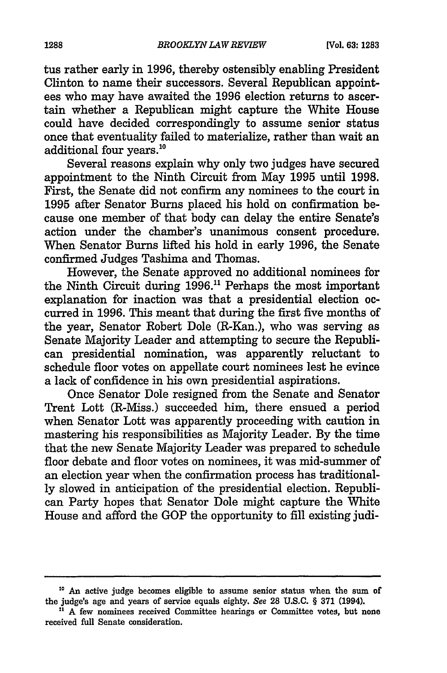tus rather early in 1996, thereby ostensibly enabling President Clinton to name their successors. Several Republican appointees who may have awaited the 1996 election returns to ascertain whether a Republican might capture the White House could have decided correspondingly to assume senior status once that eventuality failed to materialize, rather than wait an additional four years.10

Several reasons explain why only two judges have secured appointment to the Ninth Circuit from May 1995 until 1998. First, the Senate did not confirm any nominees to the court in 1995 after Senator Burns placed his hold on confirmation because one member of that body can delay the entire Senate's action under the chamber's unanimous consent procedure. When Senator Burns lifted his hold in early 1996, the Senate confirmed Judges Tashima and Thomas.

However, the Senate approved no additional nominees for the Ninth Circuit during  $1996$ .<sup>11</sup> Perhaps the most important explanation for inaction was that a presidential election occurred in 1996. This meant that during the first five months of the year, Senator Robert Dole (R-Kan.), who was serving as Senate Majority Leader and attempting to secure the Republican presidential nomination, was apparently reluctant to schedule floor votes on appellate court nominees lest he evince a lack of confidence in his own presidential aspirations.

Once Senator Dole resigned from the Senate and Senator Trent Lott (R-Miss.) succeeded him, there ensued a period when Senator Lott was apparently proceeding with caution in mastering his responsibilities as Majority Leader. By the time that the new Senate Majority Leader was prepared to schedule floor debate and floor votes on nominees, it was mid-summer of an election year when the confirmation process has traditionally slowed in anticipation of the presidential election. Republican Party hopes that Senator Dole might capture the White House and afford the GOP the opportunity to fill existing judi-

<sup>&</sup>lt;sup>10</sup> An active judge becomes eligible to assume senior status when the sum of the iudge's age and years of service equals eighty. *See* 28 U.S.C. § 371 (1994).

<sup>&</sup>lt;sup>11</sup> A few nominees received Committee hearings or Committee votes, but none received full Senate consideration.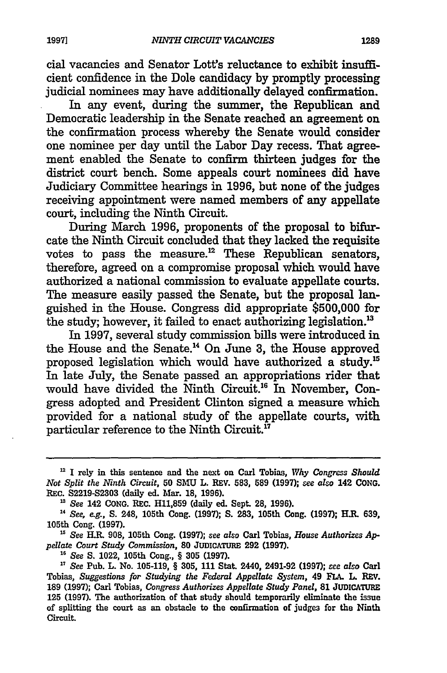cial vacancies and Senator Lott's reluctance to exhibit insufficient confidence in the Dole candidacy by promptly processing judicial nominees may have additionally delayed confirmation.

In any event, during the summer, the Republican and Democratic leadership in the Senate reached an agreement on the confirmation process whereby the Senate would consider one nominee per day until the Labor Day recess. That agreement enabled the Senate to confirm thirteen judges for the district court bench. Some appeals court nominees did have Judiciary Committee hearings in 1996, but none of the judges receiving appointment were named members of any appellate court, including the Ninth Circuit.

During March 1996, proponents of the proposal to bifurcate the Ninth Circuit concluded that they lacked the requisite votes to pass the measure.<sup>12</sup> These Republican senators, therefore, agreed on a compromise proposal which would have authorized a national commission to evaluate appellate courts. The measure easily passed the Senate, but the proposal languished in the House. Congress did appropriate \$500,000 for the study; however, it failed to enact authorizing legislation.<sup>13</sup>

In 1997, several study commission bills were introduced in the House and the Senate.14 On June 3, the House approved proposed legislation which would have authorized a study.15 In late July, the Senate passed an appropriations rider that would have divided the Ninth Circuit.16 In November, Congress adopted and President Clinton signed a measure which provided for a national study of the appellate courts, with particular reference to the Ninth Circuit.<sup>17</sup>

<sup>12</sup> I rely in this sentence and the next on Carl Tobins, *Why Congress Should Not Split the Ninth Circuit,* 50 SMU L. REV. 583, 589 (1997); *see also* 142 CONG.

<sup>&</sup>lt;sup>13</sup> See 142 CONG. REC. H11,859 (daily ed. Sept. 28, 1996).

<sup>&#</sup>x27; *See, e.g.,* S. 248, 105th Cong. (1997); S. 283, 105th Cong. (1997); H.R. 639, 105th Cong. (1997).

<sup>&</sup>lt;sup>15</sup> See H.R. 908, 105th Cong. (1997); see also Carl Tobias, *House Authorizes Ap-*<br> *pellate Court Study Commission*. 80 JUDICATURE 292 (1997).

*pellate Court Study Commission,* 80 JUDICATURE 292 (1997). 16 *See* S. 1022, 105th Cong., § 305 (1997). 17 *See* Pub. L. No. 105-119, § 305, 111 Stat. 2440, 2491-92 (1997); *see also* Carl Tobias, *Suggestions for Studying the Federal Appellate System,* 49 FLA. L. REv. 189 (1997); Carl Tobias, *Congress Authorizes Appellate Study Panel,* 81 JUDICATURE 125 (1997). The authorization of that study should temporarily eliminate the issue of splitting the court as an obstacle to the confirmation of judges for the Ninth Circuit.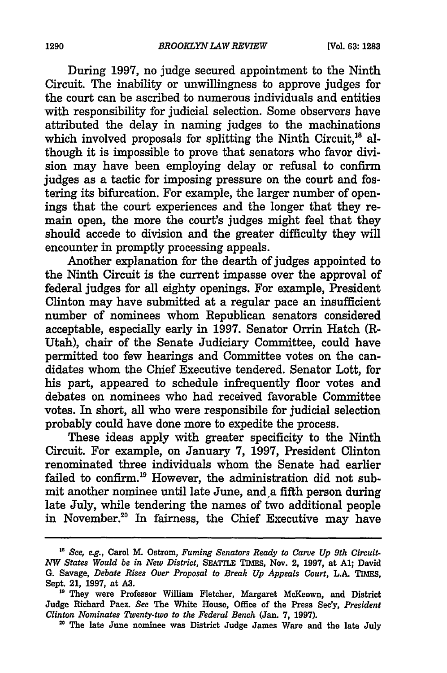During 1997, no judge secured appointment to the Ninth Circuit. The inability or unwillingness to approve judges for the court can be ascribed to numerous individuals and entities with responsibility for judicial selection. Some observers have attributed the delay in naming judges to the machinations which involved proposals for splitting the Ninth Circuit.<sup>18</sup> although it is impossible to prove that senators who favor division may have been employing delay or refusal to confirm judges as a tactic for imposing pressure on the court and fostering its bifurcation. For example, the larger number of openings that the court experiences and the longer that they remain open, the more the court's judges might feel that they should accede to division and the greater difficulty they will encounter in promptly processing appeals.

Another explanation for the dearth of judges appointed to the Ninth Circuit is the current impasse over the approval of federal judges for all eighty openings. For example, President Clinton may have submitted at a regular pace an insufficient number of nominees whom Republican senators considered acceptable, especially early in 1997. Senator Orrin Hatch (R-Utah), chair of the Senate Judiciary Committee, could have permitted too few hearings and Committee votes on the candidates whom the Chief Executive tendered. Senator Lott, for his part, appeared to schedule infrequently floor votes and debates on nominees who had received favorable Committee votes. In short, all who were responsibile for judicial selection probably could have done more to expedite the process.

These ideas apply with greater specificity to the Ninth Circuit. For example, on January 7, 1997, President Clinton renominated three individuals whom the Senate had earlier failed to confirm.<sup>19</sup> However, the administration did not submit another nominee until late June, and a fifth person during late July, while tendering the names of two additional people in November.20 In fairness, the Chief Executive may have

<sup>18</sup>*See, e.g.,* Carol M. Ostrom, *Fuming Senators Ready to Carve Up 9th Circuit· NW States Would be in New District, SEATTLE TIMES, Nov. 2, 1997, at A1; David* G. Savage, *Debate Rises Ouer Proposal to Break Up Appeals Court,* L.A. TIMES,

<sup>&</sup>lt;sup>19</sup> They were Professor William Fletcher, Margaret McKeown, and District Judge Richard Paez. *See* The White House, Office of the Press Sec'y, *President* 

<sup>&</sup>lt;sup>20</sup> The late June nominee was District Judge James Ware and the late July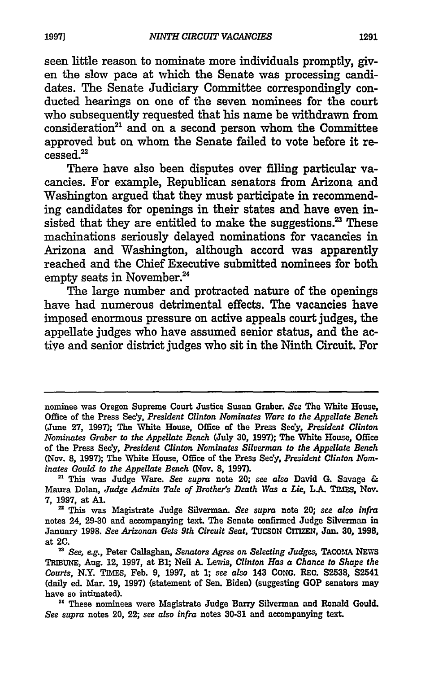seen little reason to nominate more individuals promptly, given the slow pace at which the Senate was processing candidates. The Senate Judiciary Committee correspondingly conducted hearings on one of the seven nominees for the court who subsequently requested that his name be withdrawn from consideration<sup>21</sup> and on a second person whom the Committee approved but on whom the Senate failed to vote before it recessed.22

There have also been disputes over filling particular vacancies. For example, Republican senators from Arizona and Washington argued that they must participate in recommending candidates for openings in their states and have even insisted that they are entitled to make the suggestions.<sup>23</sup> These machinations seriously delayed nominations for vacancies in Arizona and Washington, although accord was apparently reached and the Chief Executive submitted nominees for both empty seats in November.<sup>24</sup>

The large number and protracted nature of the openings have had numerous detrimental effects. The vacancies have imposed enormous pressure on active appeals court judges, the appellate judges who have assumed senior status, and the active and senior district judges who sit in the Ninth Circuit. For

nominee was Oregon Supreme Court Justice Susan Graber. *See* The White House, Office of the Press Sec'y, *President Clinton Nominates Ware to the Appellate Bench*  (June 27, 1997); The White House, Office of the Press Sec'y, *President Clinton Nominates Greiber to the Appellate Bench* (July 30, 1997); The White Howe, Office of the Press Sec'y, *President Clinton Nominates Siluermcm to the Appellate Bench*  (Nov. 8, 1997); The White House, Office of the Press Sec'y, *President Clinton Nom-*

*inates Gould to the Appellate Bench* (Nov. 8, 1997). 21 This was Judge Ware. *See supra* note 20; *see also* David G. Savage & Maura Dolan, *Judge Admits Tale of Brother's Death Was a Lie,* L.A. TIMES, Nov. 7, 1997, at Al. 22 This was Magistrate Judge Silverman. *See supra* note 20; see *also infra* 

notes 24, 29-30 and accompanying text. The Senate confirmed Judge Silverman in January 1998. *See Arizonan Gets 9th Circuit Seat,* TuCSON ClTIZEN, Jan. 30, 1998, at 2C.

<sup>23</sup>*See, e.g.,* Peter Callaghan, *Senators* Agree *on Selecting Judges,* TACOMA NEWS TRIBUNE, Aug. 12, 1997, at Bl; Neil A. Lewis, *Clinton Has a Chance to Shape the Courts,* N.Y. TIMES, Feb. 9, 1997, at l; see *also* 143 CoNG. REC. S2538, S2541 (daily ed. Mar. 19, 1997) (statement of Sen. Biden) (suggesting GOP senators may have so intimated).

<sup>&</sup>lt;sup>24</sup> These nominees were Magistrate Judge Barry Silverman and Ronald Gould. *See supra* notes 20, 22; see *also infra* notes 30-31 and accompanying text.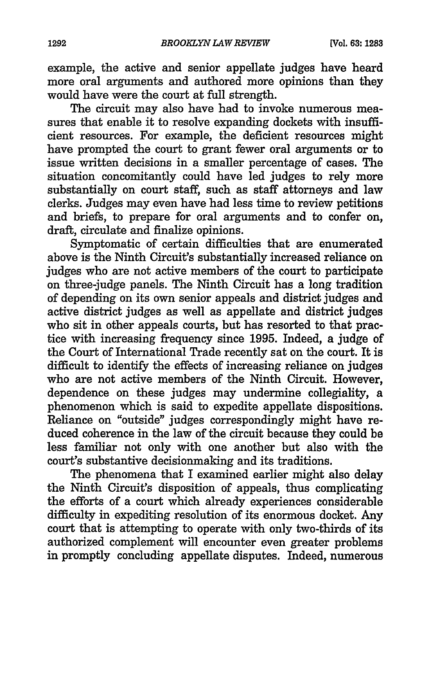example, the active and senior appellate judges have heard more oral arguments and authored more opinions than they would have were the court at full strength.

The circuit may also have had to invoke numerous measures that enable it to resolve expanding dockets with insufficient resources. For example, the deficient resources might have prompted the court to grant fewer oral arguments or to issue written decisions in a smaller percentage of cases. The situation concomitantly could have led judges to rely more substantially on court staff, such as staff attorneys and law clerks. Judges may even have had less time to review petitions and briefs, to prepare for oral arguments and to confer on, draft, circulate and finalize opinions.

Symptomatic of certain difficulties that are enumerated above is the Ninth Circuit's substantially increased reliance on judges who are not active members of the court to participate on three-judge panels. The Ninth Circuit has a long tradition of depending on its own senior appeals and district judges and active district judges as well as appellate and district judges who sit in other appeals courts, but has resorted to that practice with increasing frequency since 1995. Indeed, a judge of the Court of International Trade recently sat on the court. It is difficult to identify the effects of increasing reliance on judges who are not active members of the Ninth Circuit. However, dependence on these judges may undermine collegiality, a phenomenon which is said to expedite appellate dispositions. Reliance on "outside" judges correspondingly might have reduced coherence in the law of the circuit because they could be less familiar not only with one another but also with the court's substantive decisionmaking and its traditions.

The phenomena that I examined earlier might also delay the Ninth Circuit's disposition of appeals, thus complicating the efforts of a court which already experiences considerable difficulty in expediting resolution of its enormous docket. Any court that is attempting to operate with only two-thirds of its authorized complement will encounter even greater problems in promptly concluding appellate disputes. Indeed, numerous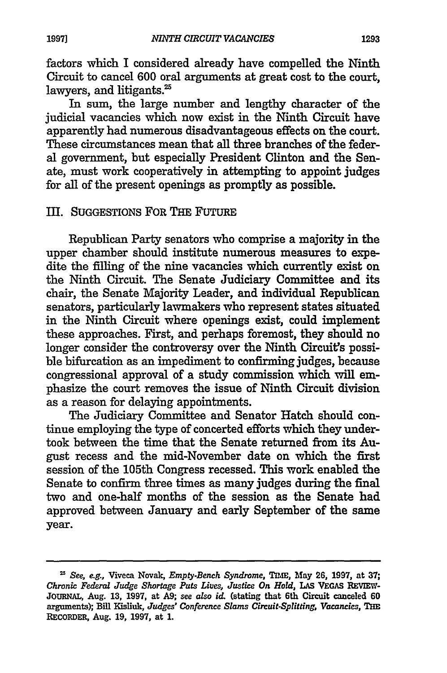factors which I considered already have compelled the Ninth Circuit to cancel 600 oral arguments at great cost to the court, lawyers, and litigants.<sup>25</sup>

In sum, the large number and lengthy character of the judicial vacancies which now exist in the Ninth Circuit have apparently had numerous disadvantageous effects on the court. These circumstances mean that all three branches of the federal government, but especially President Clinton and the Senate, must work cooperatively in attempting to appoint judges for all of the present openings as promptly as possible.

#### III. SUGGESTIONS FOR THE FUTURE

Republican Party senators who comprise a majority in the upper chamber should institute numerous measures to expedite the filling of the nine vacancies which currently exist on the Ninth Circuit. The Senate Judiciary Committee and its chair, the Senate Majority Leader, and individual Republican senators, particularly lawmakers who represent states situated in the Ninth Circuit where openings exist, could implement these approaches. First, and perhaps foremost, they should no longer consider the controversy over the Ninth Circuit's possible bifurcation as an impediment to confirming judges, because congressional approval of a study commission which will emphasize the court removes the issue of Ninth Circuit division as a reason for delaying appointments.

The Judiciary Committee and Senator Hatch should continue employing the type of concerted efforts which they undertook between the time that the Senate returned from its August recess and the mid-November date on which the first session of the 105th Congress recessed. This work enabled the Senate to confirm three times as many judges during the final two and one-half months of the session as the Senate had approved between January and early September of the same year.

<sup>&</sup>lt;sup>25</sup> See, e.g., Viveca Novak, *Empty-Bench Syndrome*, TIME, May 26, 1997, at 37; *Chronic Federal Judge Slwrtage Puts Liues, Justice On. Hold,* LAs VEGAS REvIEw-JOURNAL, Aug. 13, 1997, at A9; see *also id.* (stating that 6th Circuit canceled 60 arguments); Bill Kisliuk, *Judges' Conference Slams Circuit.Splitting, Vacancies,* THE RECORDER, Aug. 19, 1997, at 1.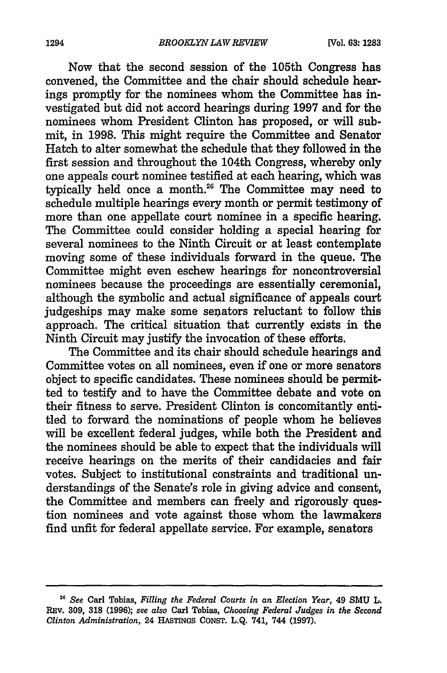Now that the second session of the 105th Congress bas convened, the Committee and the chair should schedule hearings promptly for the nominees whom the Committee bas investigated but did not accord hearings during 1997 and for the nominees whom President Clinton bas proposed, or will submit, in 1998. This might require the Committee and Senator Hatch to alter somewhat the schedule that they followed in the first session and throughout the 104th Congress, whereby only one appeals court nominee testified at each hearing, which was typically held once a month.26 The Committee may need to schedule multiple hearings every month or permit testimony of more than one appellate court nominee in a specific hearing. The Committee could consider holding a special hearing for several nominees to the Ninth Circuit or at least contemplate moving some of these individuals forward in the queue. The Committee might even eschew hearings for noncontroversial nominees because the proceedings are essentially ceremonial, although the symbolic and actual significance of appeals court judgeships may make some senators reluctant to follow this approach. The critical situation that currently exists in the Ninth Circuit may justify the invocation of these efforts.

The Committee and its chair should schedule hearings and Committee votes on all nominees, even if one or more senators object to specific candidates. These nominees should be permitted to testify and to have the Committee debate and vote on their fitness to serve. President Clinton is concomitantly entitled to forward the nominations of people whom he believes will be excellent federal judges, while both the President and the nominees should be able to expect that the individuals will receive hearings on the merits of their candidacies and fair votes. Subject to institutional constraints and traditional understandings of the Senate's role in giving advice and consent, the Committee and members can freely and rigorously question nominees and vote against those whom the lawmakers find unfit for federal appellate service. For example, senators

<sup>26</sup>*See* Carl Tobias, *Filling the Federal Courts in an Election Year,* 49 SMU L. REV. 309, 318 (1996); *see also* Carl Tobias, *Choosing Federal Judges in the Second Clinton Administration,* 24 HASTINGS CONST. L.Q. 741, 744 (1997).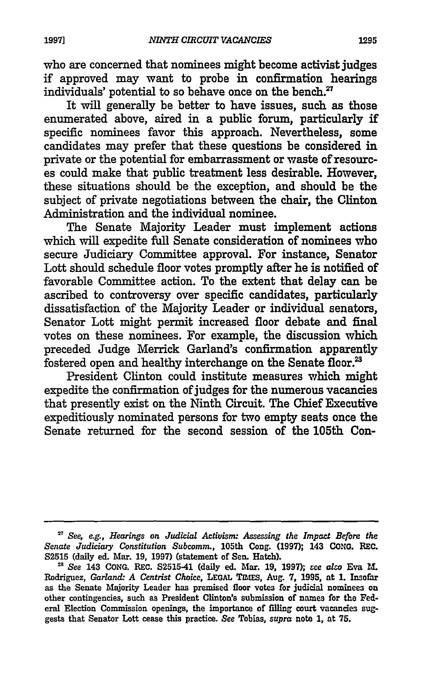who are concerned that nominees might become activist judges if approved may want to probe in confirmation hearings individuals' potential to so behave once on the bench. $27$ 

It will generally be better to have issues, such as those enumerated above, aired in a public forum, particularly if specific nominees favor this approach. Nevertheless, some candidates may prefer that these questions be considered in private or the potential for embarrassment or waste of resources could make that public treatment less desirable. However, these situations should be the exception, and should be the subject of private negotiations between the chair, the Clinton Administration and the individual nominee.

The Senate Majority Leader must implement actions which will expedite full Senate consideration of nominees who secure Judiciary Committee approval. For instance, Senator Lott should schedule floor votes promptly after he is notified of favorable Committee action. To the extent that delay can be ascribed to controversy over specific candidates, particularly dissatisfaction of the Majority Leader or individual senators, Senator Lott might permit increased floor debate and final votes on these nominees. For example, the discussion which preceded Judge Merrick Garland's confirmation apparently fostered open and healthy interchange on the Senate floor.<sup>23</sup>

President Clinton could institute measures which might expedite the confirmation of judges for the numerous vacancies that presently exist on the Ninth Circuit. The Chief Executive expeditiously nominated persons for two empty seats once the Senate returned for the second session of the 105th Con-

<sup>&</sup>lt;sup>27</sup> See, e.g., Hearings on Judicial Activism: Assessing the Impact Before the *Senate Judiciary Constitution Subcomm.,* 105th Cong. (1997); 143 CONG. REC.

<sup>82515 (</sup>daily ed. Mar. 19, 1997) (statement of Sen. Hatch). 28 *See* 143 CONG. REC. S2515-41 (daily ed. Mar. 19, 1997); *see also* Eva M. Rodriguez, *Garland: A Centrist Choice,* LEGAL TIMES, Aug. 7, 1995, nt 1. Insofar as the Senate Majority Leader has premised floor votes for judicial nominees on other contingencies, such as President Clinton's submission of names for the Federal Election Commission openings, the importance of filling court vacancies suggests that Senator Lott cease this practice. *See* Tobias, *supra* note 1, at 75.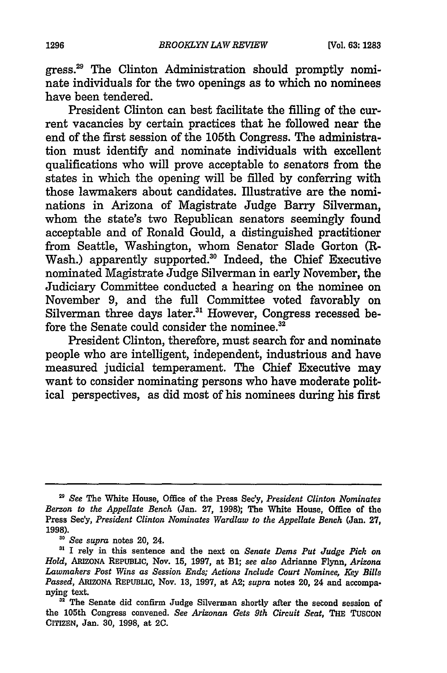gress.29 The Clinton Administration should promptly nominate individuals for the two openings as to which no nominees have been tendered.

President Clinton can best facilitate the filling of the current vacancies by certain practices that he followed near the end of the first session of the 105th Congress. The administration must identify and nominate individuals with excellent qualifications who will prove acceptable to senators from the states in which the opening will be filled by conferring with those lawmakers about candidates. Illustrative are the nominations in Arizona of Magistrate Judge Barry Silverman, whom the state's two Republican senators seemingly found acceptable and of Ronald Gould, a distinguished practitioner from Seattle, Washington, whom Senator Slade Gorton (R-Wash.) apparently supported.<sup>30</sup> Indeed, the Chief Executive nominated Magistrate Judge Silverman in early November, the Judiciary Committee conducted a hearing on the nominee on November 9, and the full Committee voted favorably on Silverman three days later.<sup>31</sup> However, Congress recessed before the Senate could consider the nominee.<sup>32</sup>

President Clinton, therefore, must search for and nominate people who are intelligent, independent, industrious and have measured judicial temperament. The Chief Executive may want to consider nominating persons who have moderate political perspectives, as did most of his nominees during his first

<sup>29</sup>*See* The White House, Office of the Press Sec'y, *President Clinton Nominates Berzon to the Appellate Bench* (Jan. 27, 1998); The White House, Office of the Press Sec'y, *President Clinton Nominates Wardlaw to the Appellate Bench* (Jan. 27,

<sup>&</sup>lt;sup>30</sup> *See supra* notes 20, 24.<br><sup>31</sup> I rely in this sentence and the next on *Senate Dems Put Judge Pick on Hold,* ARlzONA REPUBLIC, Nov. 15, 1997, at Bl; *see also* Adrianne Flynn, *Arizona Lawmakers Post Wins as Session Ends; Actions Include Court Nominee, Key Bills Passed,* AruzoNA REPUBLIC, Nov. 13, 1997, at A2; *supra* notes 20, 24 and accompa·

<sup>&</sup>lt;sup>32</sup> The Senate did confirm Judge Silverman shortly after the second session of the 105th Congress convened. *See Arizonan Gets 9th Circuit Seat,* THE TUSCON CITIZEN, Jan. 30, 1998, at 2C.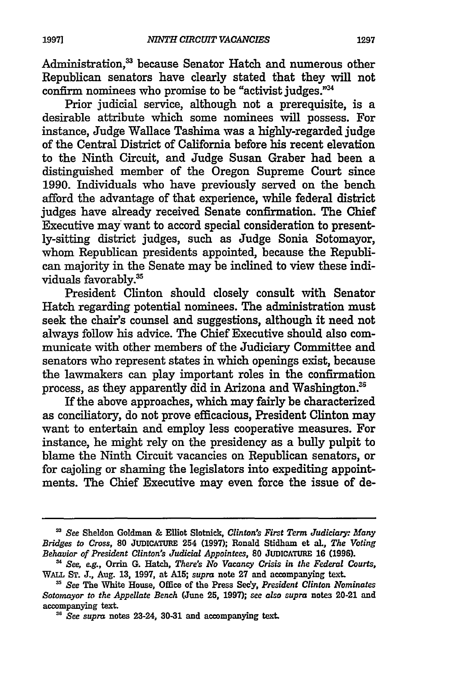Administration,<sup>33</sup> because Senator Hatch and numerous other Republican senators have clearly stated that they will not confirm nominees who promise to be "activist judges."<sup>34</sup>

Prior judicial service, although not a prerequisite, is a desirable attribute which some nominees will possess. For instance, Judge Wallace Tashima was a highly-regarded judge of the Central District of California before his recent elevation to the Ninth Circuit, and Judge Susan Graber had been a distinguished member of the Oregon Supreme Court since 1990. Individuals who have previously served on the bench afford the advantage of that experience, while federal district judges have already received Senate confirmation. The Chief Executive may want to accord special consideration to presently-sitting district judges, such as Judge Sonia Sotomayor, whom Republican presidents appointed, because the Republican majority in the Senate may be inclined to view these individuals favorably.35

President Clinton should closely consult with Senator Hatch regarding potential nominees. The administration must seek the chair's counsel and suggestions, although it need not always follow his advice. The Chief Executive should also communicate with other members of the Judiciary Committee and senators who represent states in which openings exist, because the lawmakers can play important roles in the confirmation process, as they apparently did in Arizona and Washington.<sup>35</sup>

If the above approaches, which may fairly be characterized as conciliatory, do not prove efficacious, President Clinton may want to entertain and employ less cooperative measures. For instance, he might rely on the presidency as a bully pulpit to blame the Ninth Circuit vacancies on Republican senators, or for cajoling or shaming the legislators into expediting appointments. The Chief Executive may even force the issue of de-

<sup>33</sup>*See* Sheldon Goldman & Elliot Slotnick, *Clinton's First Term Judiciary: Many Bridges to Cross,* 80 JUDICATURE 254 {1997); Ronald Stidham ct nl, *The Voting Behavior of President Clinton's Judicial Appointees,* 80 JUDICATURE 16 {1996).

*u See, e.g.,* Orrin G. Hatch, *There's No Vacancy Crisis in the Federal Courts,*  WALL ST. J., Aug. 13, 1997, at Al5; *supra* note 27 and accompanying text.

<sup>35</sup>*See* The White House, Office of the Press Sec'y, *President Clinton Nominates Sotomayor to the Appellate Bench* {June 25, 1997); see *also supra* notes 20-21 and accompanying text.

<sup>36</sup> *See supra* notes 23-24, 30-31 and accompanying text.